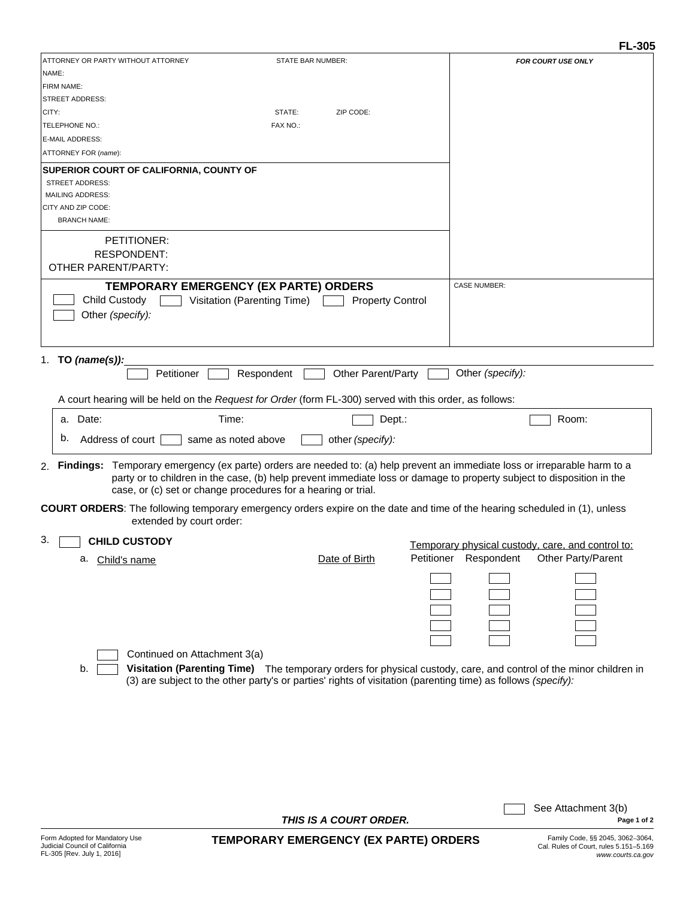|                                                                                                                                                                                                                                                                                                                            |                                                                      |                                                                                                                                                                                                                                   |            |                     | <b>FL-305</b>                                     |
|----------------------------------------------------------------------------------------------------------------------------------------------------------------------------------------------------------------------------------------------------------------------------------------------------------------------------|----------------------------------------------------------------------|-----------------------------------------------------------------------------------------------------------------------------------------------------------------------------------------------------------------------------------|------------|---------------------|---------------------------------------------------|
| ATTORNEY OR PARTY WITHOUT ATTORNEY<br>NAME:                                                                                                                                                                                                                                                                                |                                                                      | STATE BAR NUMBER:                                                                                                                                                                                                                 |            |                     | <b>FOR COURT USE ONLY</b>                         |
| FIRM NAME:                                                                                                                                                                                                                                                                                                                 |                                                                      |                                                                                                                                                                                                                                   |            |                     |                                                   |
| <b>STREET ADDRESS:</b>                                                                                                                                                                                                                                                                                                     |                                                                      |                                                                                                                                                                                                                                   |            |                     |                                                   |
| CITY:                                                                                                                                                                                                                                                                                                                      |                                                                      | STATE:<br>ZIP CODE:                                                                                                                                                                                                               |            |                     |                                                   |
| TELEPHONE NO.:                                                                                                                                                                                                                                                                                                             |                                                                      | FAX NO.:                                                                                                                                                                                                                          |            |                     |                                                   |
| <b>E-MAIL ADDRESS:</b>                                                                                                                                                                                                                                                                                                     |                                                                      |                                                                                                                                                                                                                                   |            |                     |                                                   |
| ATTORNEY FOR (name):                                                                                                                                                                                                                                                                                                       |                                                                      |                                                                                                                                                                                                                                   |            |                     |                                                   |
|                                                                                                                                                                                                                                                                                                                            |                                                                      |                                                                                                                                                                                                                                   |            |                     |                                                   |
| <b>STREET ADDRESS:</b>                                                                                                                                                                                                                                                                                                     | SUPERIOR COURT OF CALIFORNIA, COUNTY OF                              |                                                                                                                                                                                                                                   |            |                     |                                                   |
| <b>MAILING ADDRESS:</b>                                                                                                                                                                                                                                                                                                    |                                                                      |                                                                                                                                                                                                                                   |            |                     |                                                   |
| CITY AND ZIP CODE:                                                                                                                                                                                                                                                                                                         |                                                                      |                                                                                                                                                                                                                                   |            |                     |                                                   |
| <b>BRANCH NAME:</b>                                                                                                                                                                                                                                                                                                        |                                                                      |                                                                                                                                                                                                                                   |            |                     |                                                   |
| PETITIONER:                                                                                                                                                                                                                                                                                                                |                                                                      |                                                                                                                                                                                                                                   |            |                     |                                                   |
| <b>RESPONDENT:</b>                                                                                                                                                                                                                                                                                                         |                                                                      |                                                                                                                                                                                                                                   |            |                     |                                                   |
| OTHER PARENT/PARTY:                                                                                                                                                                                                                                                                                                        |                                                                      |                                                                                                                                                                                                                                   |            |                     |                                                   |
|                                                                                                                                                                                                                                                                                                                            |                                                                      |                                                                                                                                                                                                                                   |            | <b>CASE NUMBER:</b> |                                                   |
| Child Custody<br>Other (specify):                                                                                                                                                                                                                                                                                          | TEMPORARY EMERGENCY (EX PARTE) ORDERS<br>Visitation (Parenting Time) | <b>Property Control</b>                                                                                                                                                                                                           |            |                     |                                                   |
| 1. TO (name(s)):                                                                                                                                                                                                                                                                                                           |                                                                      |                                                                                                                                                                                                                                   |            |                     |                                                   |
|                                                                                                                                                                                                                                                                                                                            | Petitioner                                                           | <b>Other Parent/Party</b><br>Respondent                                                                                                                                                                                           |            | Other (specify):    |                                                   |
|                                                                                                                                                                                                                                                                                                                            |                                                                      | A court hearing will be held on the Request for Order (form FL-300) served with this order, as follows:                                                                                                                           |            |                     |                                                   |
| a. Date:                                                                                                                                                                                                                                                                                                                   | Time:                                                                |                                                                                                                                                                                                                                   | Dept.:     |                     | Room:                                             |
| b.<br>Address of court                                                                                                                                                                                                                                                                                                     | same as noted above                                                  | other (specify):                                                                                                                                                                                                                  |            |                     |                                                   |
| Findings: Temporary emergency (ex parte) orders are needed to: (a) help prevent an immediate loss or irreparable harm to a<br>2.<br>party or to children in the case, (b) help prevent immediate loss or damage to property subject to disposition in the<br>case, or (c) set or change procedures for a hearing or trial. |                                                                      |                                                                                                                                                                                                                                   |            |                     |                                                   |
|                                                                                                                                                                                                                                                                                                                            | extended by court order:                                             | <b>COURT ORDERS:</b> The following temporary emergency orders expire on the date and time of the hearing scheduled in (1), unless                                                                                                 |            |                     |                                                   |
| 3.<br><b>CHILD CUSTODY</b>                                                                                                                                                                                                                                                                                                 |                                                                      |                                                                                                                                                                                                                                   |            |                     | Temporary physical custody, care, and control to: |
| a. Child's name                                                                                                                                                                                                                                                                                                            |                                                                      | Date of Birth                                                                                                                                                                                                                     | Petitioner | Respondent          | Other Party/Parent                                |
|                                                                                                                                                                                                                                                                                                                            |                                                                      |                                                                                                                                                                                                                                   |            |                     |                                                   |
|                                                                                                                                                                                                                                                                                                                            | Continued on Attachment 3(a)                                         |                                                                                                                                                                                                                                   |            |                     |                                                   |
| b.                                                                                                                                                                                                                                                                                                                         |                                                                      | Visitation (Parenting Time) The temporary orders for physical custody, care, and control of the minor children in<br>(3) are subject to the other party's or parties' rights of visitation (parenting time) as follows (specify): |            |                     |                                                   |
|                                                                                                                                                                                                                                                                                                                            |                                                                      |                                                                                                                                                                                                                                   |            |                     |                                                   |

*THIS IS A COURT ORDER.*

**Page 1 of 2** 

See Attachment 3(b)

 $\Box$  $\sim 10$